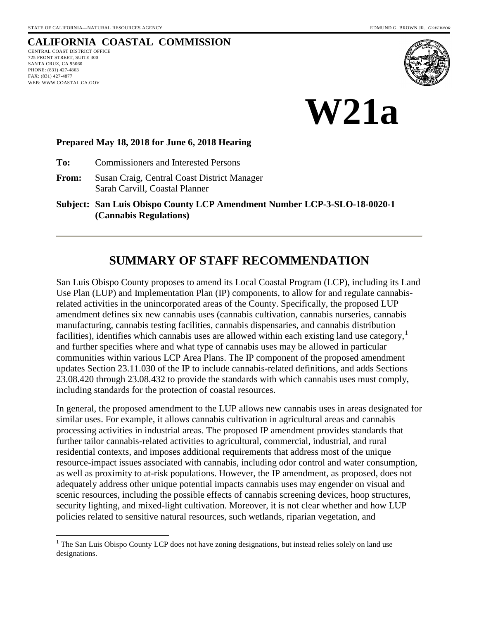## **CALIFORNIA COASTAL COMMISSION**

CENTRAL COAST DISTRICT OFFICE 725 FRONT STREET, SUITE 300 SANTA CRUZ, CA 95060 PHONE: (831) 427-4863 FAX: (831) 427-4877 WEB: WWW.COASTAL.CA.GOV

 $\overline{a}$ 





#### **Prepared May 18, 2018 for June 6, 2018 Hearing**

**To:** Commissioners and Interested Persons

**From:** Susan Craig, Central Coast District Manager Sarah Carvill, Coastal Planner

**Subject: San Luis Obispo County LCP Amendment Number LCP-3-SLO-18-0020-1 (Cannabis Regulations)**

## **SUMMARY OF STAFF RECOMMENDATION**

San Luis Obispo County proposes to amend its Local Coastal Program (LCP), including its Land Use Plan (LUP) and Implementation Plan (IP) components, to allow for and regulate cannabisrelated activities in the unincorporated areas of the County. Specifically, the proposed LUP amendment defines six new cannabis uses (cannabis cultivation, cannabis nurseries, cannabis manufacturing, cannabis testing facilities, cannabis dispensaries, and cannabis distribution facilities), identifies which cannabis uses are allowed within each existing land use category,<sup>[1](#page-0-0)</sup> and further specifies where and what type of cannabis uses may be allowed in particular communities within various LCP Area Plans. The IP component of the proposed amendment updates Section 23.11.030 of the IP to include cannabis-related definitions, and adds Sections 23.08.420 through 23.08.432 to provide the standards with which cannabis uses must comply, including standards for the protection of coastal resources.

In general, the proposed amendment to the LUP allows new cannabis uses in areas designated for similar uses. For example, it allows cannabis cultivation in agricultural areas and cannabis processing activities in industrial areas. The proposed IP amendment provides standards that further tailor cannabis-related activities to agricultural, commercial, industrial, and rural residential contexts, and imposes additional requirements that address most of the unique resource-impact issues associated with cannabis, including odor control and water consumption, as well as proximity to at-risk populations. However, the IP amendment, as proposed, does not adequately address other unique potential impacts cannabis uses may engender on visual and scenic resources, including the possible effects of cannabis screening devices, hoop structures, security lighting, and mixed-light cultivation. Moreover, it is not clear whether and how LUP policies related to sensitive natural resources, such wetlands, riparian vegetation, and

<span id="page-0-0"></span><sup>&</sup>lt;sup>1</sup> The San Luis Obispo County LCP does not have zoning designations, but instead relies solely on land use designations.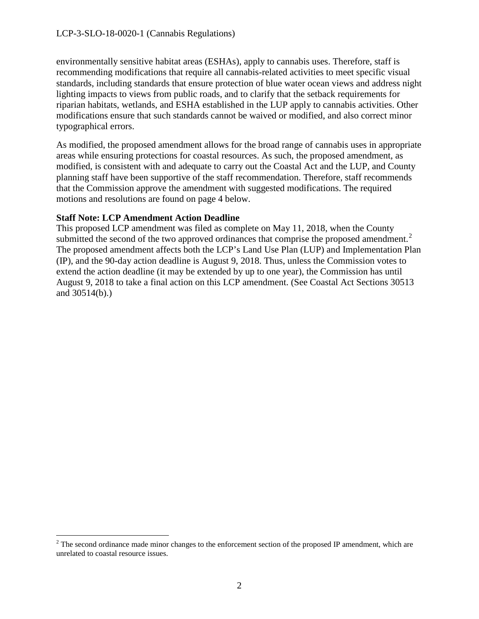environmentally sensitive habitat areas (ESHAs), apply to cannabis uses. Therefore, staff is recommending modifications that require all cannabis-related activities to meet specific visual standards, including standards that ensure protection of blue water ocean views and address night lighting impacts to views from public roads, and to clarify that the setback requirements for riparian habitats, wetlands, and ESHA established in the LUP apply to cannabis activities. Other modifications ensure that such standards cannot be waived or modified, and also correct minor typographical errors.

As modified, the proposed amendment allows for the broad range of cannabis uses in appropriate areas while ensuring protections for coastal resources. As such, the proposed amendment, as modified, is consistent with and adequate to carry out the Coastal Act and the LUP, and County planning staff have been supportive of the staff recommendation. Therefore, staff recommends that the Commission approve the amendment with suggested modifications. The required motions and resolutions are found on page 4 below.

#### **Staff Note: LCP Amendment Action Deadline**

This proposed LCP amendment was filed as complete on May 11, 2018, when the County submitted the second of the two approved ordinances that comprise the proposed amendment.<sup>[2](#page-1-0)</sup> The proposed amendment affects both the LCP's Land Use Plan (LUP) and Implementation Plan (IP), and the 90-day action deadline is August 9, 2018. Thus, unless the Commission votes to extend the action deadline (it may be extended by up to one year), the Commission has until August 9, 2018 to take a final action on this LCP amendment. (See Coastal Act Sections 30513 and 30514(b).)

<span id="page-1-0"></span> $\overline{a}$  $2^2$  The second ordinance made minor changes to the enforcement section of the proposed IP amendment, which are unrelated to coastal resource issues.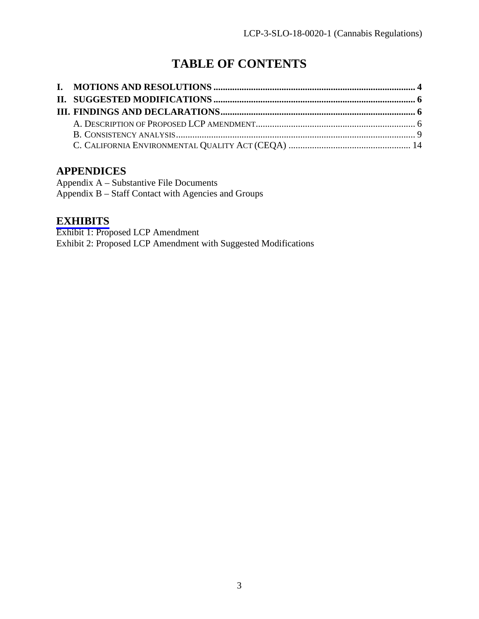# **TABLE OF CONTENTS**

### **APPENDICES**

Appendix A – Substantive File Documents Appendix B – Staff Contact with Agencies and Groups

### **[EXHIBITS](https://documents.coastal.ca.gov/reports/2018/6/w21a/w21a-6-2018-exhibits.pdf)**

Exhibit 1: Proposed LCP Amendment Exhibit 2: Proposed LCP Amendment with Suggested Modifications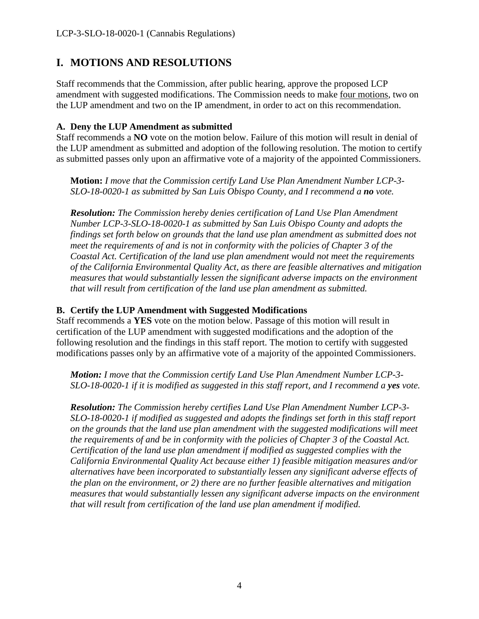## <span id="page-3-0"></span>**I. MOTIONS AND RESOLUTIONS**

Staff recommends that the Commission, after public hearing, approve the proposed LCP amendment with suggested modifications. The Commission needs to make four motions, two on the LUP amendment and two on the IP amendment, in order to act on this recommendation.

#### **A. Deny the LUP Amendment as submitted**

Staff recommends a **NO** vote on the motion below. Failure of this motion will result in denial of the LUP amendment as submitted and adoption of the following resolution. The motion to certify as submitted passes only upon an affirmative vote of a majority of the appointed Commissioners.

**Motion:** *I move that the Commission certify Land Use Plan Amendment Number LCP-3- SLO-18-0020-1 as submitted by San Luis Obispo County, and I recommend a no vote.* 

*Resolution: The Commission hereby denies certification of Land Use Plan Amendment Number LCP-3-SLO-18-0020-1 as submitted by San Luis Obispo County and adopts the findings set forth below on grounds that the land use plan amendment as submitted does not meet the requirements of and is not in conformity with the policies of Chapter 3 of the Coastal Act. Certification of the land use plan amendment would not meet the requirements of the California Environmental Quality Act, as there are feasible alternatives and mitigation measures that would substantially lessen the significant adverse impacts on the environment that will result from certification of the land use plan amendment as submitted.* 

#### **B. Certify the LUP Amendment with Suggested Modifications**

Staff recommends a **YES** vote on the motion below. Passage of this motion will result in certification of the LUP amendment with suggested modifications and the adoption of the following resolution and the findings in this staff report. The motion to certify with suggested modifications passes only by an affirmative vote of a majority of the appointed Commissioners.

*Motion: I move that the Commission certify Land Use Plan Amendment Number LCP-3- SLO-18-0020-1 if it is modified as suggested in this staff report, and I recommend a yes vote.* 

*Resolution: The Commission hereby certifies Land Use Plan Amendment Number LCP-3- SLO-18-0020-1 if modified as suggested and adopts the findings set forth in this staff report*  on the grounds that the land use plan amendment with the suggested modifications will meet *the requirements of and be in conformity with the policies of Chapter 3 of the Coastal Act. Certification of the land use plan amendment if modified as suggested complies with the California Environmental Quality Act because either 1) feasible mitigation measures and/or alternatives have been incorporated to substantially lessen any significant adverse effects of the plan on the environment, or 2) there are no further feasible alternatives and mitigation measures that would substantially lessen any significant adverse impacts on the environment that will result from certification of the land use plan amendment if modified.*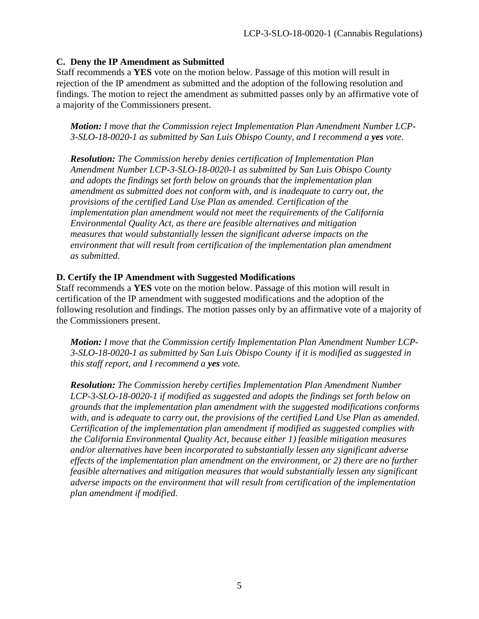#### **C. Deny the IP Amendment as Submitted**

Staff recommends a **YES** vote on the motion below. Passage of this motion will result in rejection of the IP amendment as submitted and the adoption of the following resolution and findings. The motion to reject the amendment as submitted passes only by an affirmative vote of a majority of the Commissioners present.

*Motion: I move that the Commission reject Implementation Plan Amendment Number LCP-3-SLO-18-0020-1 as submitted by San Luis Obispo County, and I recommend a yes vote.* 

*Resolution: The Commission hereby denies certification of Implementation Plan Amendment Number LCP-3-SLO-18-0020-1 as submitted by San Luis Obispo County and adopts the findings set forth below on grounds that the implementation plan amendment as submitted does not conform with, and is inadequate to carry out, the provisions of the certified Land Use Plan as amended. Certification of the implementation plan amendment would not meet the requirements of the California Environmental Quality Act, as there are feasible alternatives and mitigation measures that would substantially lessen the significant adverse impacts on the*  environment that will result from certification of the implementation plan amendment *as submitted.* 

#### **D. Certify the IP Amendment with Suggested Modifications**

Staff recommends a **YES** vote on the motion below. Passage of this motion will result in certification of the IP amendment with suggested modifications and the adoption of the following resolution and findings. The motion passes only by an affirmative vote of a majority of the Commissioners present.

*Motion: I move that the Commission certify Implementation Plan Amendment Number LCP-3-SLO-18-0020-1 as submitted by San Luis Obispo County if it is modified as suggested in this staff report, and I recommend a yes vote.*

<span id="page-4-0"></span>*Resolution: The Commission hereby certifies Implementation Plan Amendment Number LCP-3-SLO-18-0020-1 if modified as suggested and adopts the findings set forth below on grounds that the implementation plan amendment with the suggested modifications conforms with, and is adequate to carry out, the provisions of the certified Land Use Plan as amended. Certification of the implementation plan amendment if modified as suggested complies with the California Environmental Quality Act, because either 1) feasible mitigation measures and/or alternatives have been incorporated to substantially lessen any significant adverse effects of the implementation plan amendment on the environment, or 2) there are no further feasible alternatives and mitigation measures that would substantially lessen any significant adverse impacts on the environment that will result from certification of the implementation plan amendment if modified.*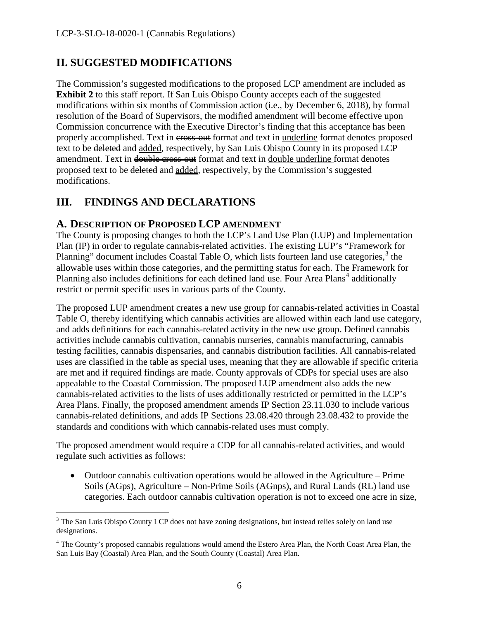### **II. SUGGESTED MODIFICATIONS**

The Commission's suggested modifications to the proposed LCP amendment are included as **Exhibit 2** to this staff report. If San Luis Obispo County accepts each of the suggested modifications within six months of Commission action (i.e., by December 6, 2018), by formal resolution of the Board of Supervisors, the modified amendment will become effective upon Commission concurrence with the Executive Director's finding that this acceptance has been properly accomplished. Text in cross-out format and text in underline format denotes proposed text to be deleted and added, respectively, by San Luis Obispo County in its proposed LCP amendment. Text in double cross-out format and text in double underline format denotes proposed text to be deleted and added, respectively, by the Commission's suggested modifications.

### <span id="page-5-0"></span>**III. FINDINGS AND DECLARATIONS**

### <span id="page-5-1"></span>**A. DESCRIPTION OF PROPOSED LCP AMENDMENT**

The County is proposing changes to both the LCP's Land Use Plan (LUP) and Implementation Plan (IP) in order to regulate cannabis-related activities. The existing LUP's "Framework for Planning" document includes Coastal Table O, which lists fourteen land use categories, $3$  the allowable uses within those categories, and the permitting status for each. The Framework for Planning also includes definitions for each defined land use. Four Area Plans<sup>[4](#page-5-3)</sup> additionally restrict or permit specific uses in various parts of the County.

The proposed LUP amendment creates a new use group for cannabis-related activities in Coastal Table O, thereby identifying which cannabis activities are allowed within each land use category, and adds definitions for each cannabis-related activity in the new use group. Defined cannabis activities include cannabis cultivation, cannabis nurseries, cannabis manufacturing, cannabis testing facilities, cannabis dispensaries, and cannabis distribution facilities. All cannabis-related uses are classified in the table as special uses, meaning that they are allowable if specific criteria are met and if required findings are made. County approvals of CDPs for special uses are also appealable to the Coastal Commission. The proposed LUP amendment also adds the new cannabis-related activities to the lists of uses additionally restricted or permitted in the LCP's Area Plans. Finally, the proposed amendment amends IP Section 23.11.030 to include various cannabis-related definitions, and adds IP Sections 23.08.420 through 23.08.432 to provide the standards and conditions with which cannabis-related uses must comply.

The proposed amendment would require a CDP for all cannabis-related activities, and would regulate such activities as follows:

• Outdoor cannabis cultivation operations would be allowed in the Agriculture – Prime Soils (AGps), Agriculture – Non-Prime Soils (AGnps), and Rural Lands (RL) land use categories. Each outdoor cannabis cultivation operation is not to exceed one acre in size,

<span id="page-5-2"></span> $\overline{a}$ <sup>3</sup> The San Luis Obispo County LCP does not have zoning designations, but instead relies solely on land use designations.

<span id="page-5-3"></span><sup>&</sup>lt;sup>4</sup> The County's proposed cannabis regulations would amend the Estero Area Plan, the North Coast Area Plan, the San Luis Bay (Coastal) Area Plan, and the South County (Coastal) Area Plan.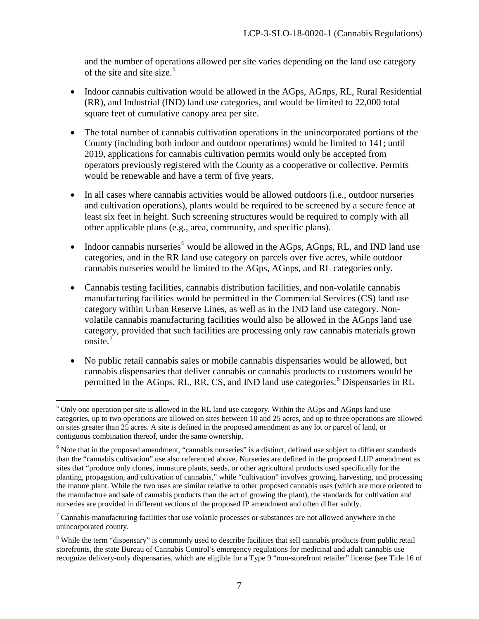and the number of operations allowed per site varies depending on the land use category of the site and site size. [5](#page-6-0)

- Indoor cannabis cultivation would be allowed in the AGps, AGnps, RL, Rural Residential (RR), and Industrial (IND) land use categories, and would be limited to 22,000 total square feet of cumulative canopy area per site.
- The total number of cannabis cultivation operations in the unincorporated portions of the County (including both indoor and outdoor operations) would be limited to 141; until 2019, applications for cannabis cultivation permits would only be accepted from operators previously registered with the County as a cooperative or collective. Permits would be renewable and have a term of five years.
- In all cases where cannabis activities would be allowed outdoors (i.e., outdoor nurseries and cultivation operations), plants would be required to be screened by a secure fence at least six feet in height. Such screening structures would be required to comply with all other applicable plans (e.g., area, community, and specific plans).
- Indoor cannabis nurseries<sup>[6](#page-6-1)</sup> would be allowed in the AGps, AGnps, RL, and IND land use categories, and in the RR land use category on parcels over five acres, while outdoor cannabis nurseries would be limited to the AGps, AGnps, and RL categories only.
- Cannabis testing facilities, cannabis distribution facilities, and non-volatile cannabis manufacturing facilities would be permitted in the Commercial Services (CS) land use category within Urban Reserve Lines, as well as in the IND land use category. Nonvolatile cannabis manufacturing facilities would also be allowed in the AGnps land use category, provided that such facilities are processing only raw cannabis materials grown onsite.[7](#page-6-2)
- No public retail cannabis sales or mobile cannabis dispensaries would be allowed, but cannabis dispensaries that deliver cannabis or cannabis products to customers would be permitted in the AGnps, RL, RR, CS, and IND land use categories.<sup>[8](#page-6-3)</sup> Dispensaries in RL

 $\overline{a}$ 

<span id="page-6-0"></span><sup>&</sup>lt;sup>5</sup> Only one operation per site is allowed in the RL land use category. Within the AGps and AGnps land use categories, up to two operations are allowed on sites between 10 and 25 acres, and up to three operations are allowed on sites greater than 25 acres. A site is defined in the proposed amendment as any lot or parcel of land, or contiguous combination thereof, under the same ownership.

<span id="page-6-1"></span><sup>&</sup>lt;sup>6</sup> Note that in the proposed amendment, "cannabis nurseries" is a distinct, defined use subject to different standards than the "cannabis cultivation" use also referenced above. Nurseries are defined in the proposed LUP amendment as sites that "produce only clones, immature plants, seeds, or other agricultural products used specifically for the planting, propagation, and cultivation of cannabis," while "cultivation" involves growing, harvesting, and processing the mature plant. While the two uses are similar relative to other proposed cannabis uses (which are more oriented to the manufacture and sale of cannabis products than the act of growing the plant), the standards for cultivation and nurseries are provided in different sections of the proposed IP amendment and often differ subtly.

<span id="page-6-2"></span><sup>&</sup>lt;sup>7</sup> Cannabis manufacturing facilities that use volatile processes or substances are not allowed anywhere in the unincorporated county.

<span id="page-6-3"></span><sup>&</sup>lt;sup>8</sup> While the term "dispensary" is commonly used to describe facilities that sell cannabis products from public retail storefronts, the state Bureau of Cannabis Control's emergency regulations for medicinal and adult cannabis use recognize delivery-only dispensaries, which are eligible for a Type 9 "non-storefront retailer" license (see Title 16 of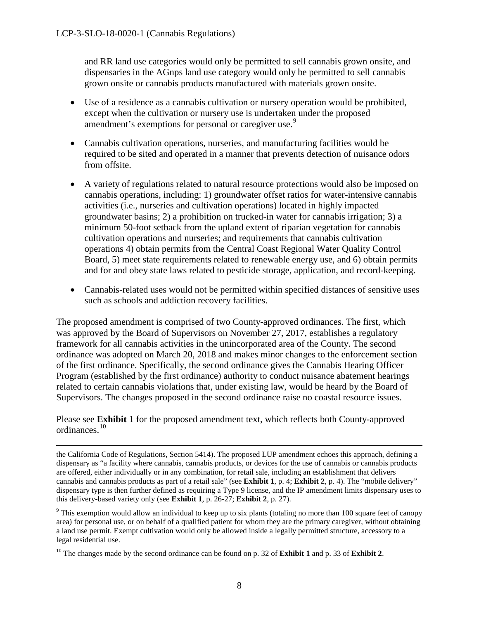and RR land use categories would only be permitted to sell cannabis grown onsite, and dispensaries in the AGnps land use category would only be permitted to sell cannabis grown onsite or cannabis products manufactured with materials grown onsite.

- Use of a residence as a cannabis cultivation or nursery operation would be prohibited, except when the cultivation or nursery use is undertaken under the proposed amendment's exemptions for personal or caregiver use.<sup>[9](#page-7-0)</sup>
- Cannabis cultivation operations, nurseries, and manufacturing facilities would be required to be sited and operated in a manner that prevents detection of nuisance odors from offsite.
- A variety of regulations related to natural resource protections would also be imposed on cannabis operations, including: 1) groundwater offset ratios for water-intensive cannabis activities (i.e., nurseries and cultivation operations) located in highly impacted groundwater basins; 2) a prohibition on trucked-in water for cannabis irrigation; 3) a minimum 50-foot setback from the upland extent of riparian vegetation for cannabis cultivation operations and nurseries; and requirements that cannabis cultivation operations 4) obtain permits from the Central Coast Regional Water Quality Control Board, 5) meet state requirements related to renewable energy use, and 6) obtain permits and for and obey state laws related to pesticide storage, application, and record-keeping.
- Cannabis-related uses would not be permitted within specified distances of sensitive uses such as schools and addiction recovery facilities.

The proposed amendment is comprised of two County-approved ordinances. The first, which was approved by the Board of Supervisors on November 27, 2017, establishes a regulatory framework for all cannabis activities in the unincorporated area of the County. The second ordinance was adopted on March 20, 2018 and makes minor changes to the enforcement section of the first ordinance. Specifically, the second ordinance gives the Cannabis Hearing Officer Program (established by the first ordinance) authority to conduct nuisance abatement hearings related to certain cannabis violations that, under existing law, would be heard by the Board of Supervisors. The changes proposed in the second ordinance raise no coastal resource issues.

Please see **Exhibit 1** for the proposed amendment text, which reflects both County-approved ordinances.[10](#page-7-1)

 $\overline{a}$ the California Code of Regulations, Section 5414). The proposed LUP amendment echoes this approach, defining a dispensary as "a facility where cannabis, cannabis products, or devices for the use of cannabis or cannabis products are offered, either individually or in any combination, for retail sale, including an establishment that delivers cannabis and cannabis products as part of a retail sale" (see **Exhibit 1**, p. 4; **Exhibit 2**, p. 4). The "mobile delivery" dispensary type is then further defined as requiring a Type 9 license, and the IP amendment limits dispensary uses to this delivery-based variety only (see **Exhibit 1**, p. 26-27; **Exhibit 2**, p. 27).

<span id="page-7-0"></span><sup>&</sup>lt;sup>9</sup> This exemption would allow an individual to keep up to six plants (totaling no more than 100 square feet of canopy area) for personal use, or on behalf of a qualified patient for whom they are the primary caregiver, without obtaining a land use permit. Exempt cultivation would only be allowed inside a legally permitted structure, accessory to a legal residential use.

<span id="page-7-1"></span><sup>10</sup> The changes made by the second ordinance can be found on p. 32 of **Exhibit 1** and p. 33 of **Exhibit 2**.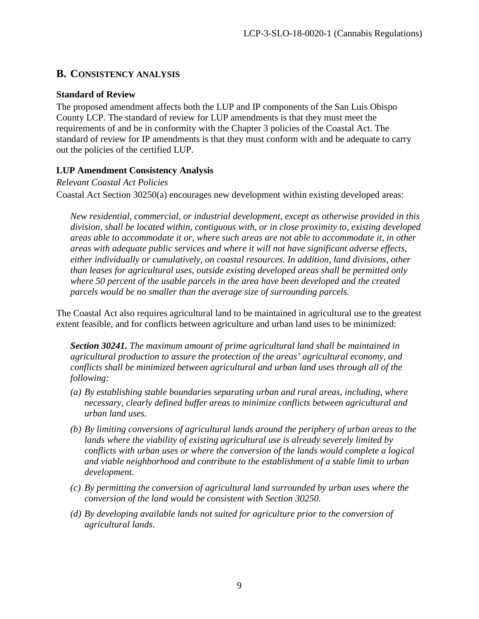### <span id="page-8-0"></span>**B. CONSISTENCY ANALYSIS**

#### **Standard of Review**

The proposed amendment affects both the LUP and IP components of the San Luis Obispo County LCP. The standard of review for LUP amendments is that they must meet the requirements of and be in conformity with the Chapter 3 policies of the Coastal Act. The standard of review for IP amendments is that they must conform with and be adequate to carry out the policies of the certified LUP.

### **LUP Amendment Consistency Analysis**

*Relevant Coastal Act Policies*

Coastal Act Section 30250(a) encourages new development within existing developed areas:

*New residential, commercial, or industrial development, except as otherwise provided in this division, shall be located within, contiguous with, or in close proximity to, existing developed areas able to accommodate it or, where such areas are not able to accommodate it, in other areas with adequate public services and where it will not have significant adverse effects, either individually or cumulatively, on coastal resources. In addition, land divisions, other than leases for agricultural uses, outside existing developed areas shall be permitted only where 50 percent of the usable parcels in the area have been developed and the created parcels would be no smaller than the average size of surrounding parcels.* 

The Coastal Act also requires agricultural land to be maintained in agricultural use to the greatest extent feasible, and for conflicts between agriculture and urban land uses to be minimized:

*Section 30241. The maximum amount of prime agricultural land shall be maintained in agricultural production to assure the protection of the areas' agricultural economy, and conflicts shall be minimized between agricultural and urban land uses through all of the following:* 

- *(a) By establishing stable boundaries separating urban and rural areas, including, where necessary, clearly defined buffer areas to minimize conflicts between agricultural and urban land uses.*
- *(b) By limiting conversions of agricultural lands around the periphery of urban areas to the lands where the viability of existing agricultural use is already severely limited by conflicts with urban uses or where the conversion of the lands would complete a logical and viable neighborhood and contribute to the establishment of a stable limit to urban development.*
- *(c) By permitting the conversion of agricultural land surrounded by urban uses where the conversion of the land would be consistent with Section 30250.*
- *(d) By developing available lands not suited for agriculture prior to the conversion of agricultural lands.*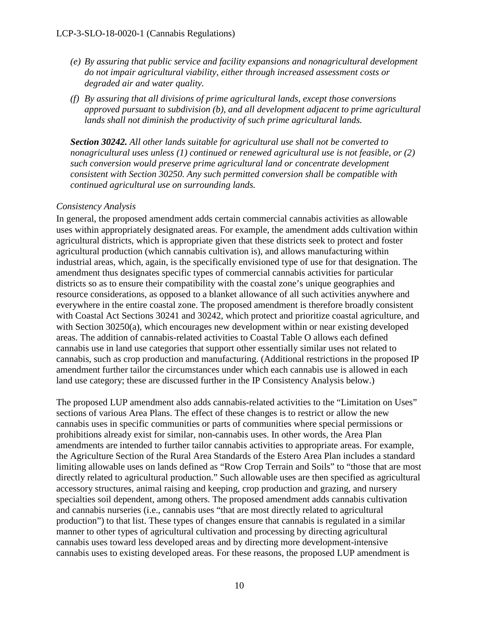- *(e) By assuring that public service and facility expansions and nonagricultural development do not impair agricultural viability, either through increased assessment costs or degraded air and water quality.*
- *(f) By assuring that all divisions of prime agricultural lands, except those conversions approved pursuant to subdivision (b), and all development adjacent to prime agricultural lands shall not diminish the productivity of such prime agricultural lands.*

*Section 30242. All other lands suitable for agricultural use shall not be converted to nonagricultural uses unless (1) continued or renewed agricultural use is not feasible, or (2) such conversion would preserve prime agricultural land or concentrate development consistent with Section 30250. Any such permitted conversion shall be compatible with continued agricultural use on surrounding lands.* 

#### *Consistency Analysis*

In general, the proposed amendment adds certain commercial cannabis activities as allowable uses within appropriately designated areas. For example, the amendment adds cultivation within agricultural districts, which is appropriate given that these districts seek to protect and foster agricultural production (which cannabis cultivation is), and allows manufacturing within industrial areas, which, again, is the specifically envisioned type of use for that designation. The amendment thus designates specific types of commercial cannabis activities for particular districts so as to ensure their compatibility with the coastal zone's unique geographies and resource considerations, as opposed to a blanket allowance of all such activities anywhere and everywhere in the entire coastal zone. The proposed amendment is therefore broadly consistent with Coastal Act Sections 30241 and 30242, which protect and prioritize coastal agriculture, and with Section 30250(a), which encourages new development within or near existing developed areas. The addition of cannabis-related activities to Coastal Table O allows each defined cannabis use in land use categories that support other essentially similar uses not related to cannabis, such as crop production and manufacturing. (Additional restrictions in the proposed IP amendment further tailor the circumstances under which each cannabis use is allowed in each land use category; these are discussed further in the IP Consistency Analysis below.)

The proposed LUP amendment also adds cannabis-related activities to the "Limitation on Uses" sections of various Area Plans. The effect of these changes is to restrict or allow the new cannabis uses in specific communities or parts of communities where special permissions or prohibitions already exist for similar, non-cannabis uses. In other words, the Area Plan amendments are intended to further tailor cannabis activities to appropriate areas. For example, the Agriculture Section of the Rural Area Standards of the Estero Area Plan includes a standard limiting allowable uses on lands defined as "Row Crop Terrain and Soils" to "those that are most directly related to agricultural production." Such allowable uses are then specified as agricultural accessory structures, animal raising and keeping, crop production and grazing, and nursery specialties soil dependent, among others. The proposed amendment adds cannabis cultivation and cannabis nurseries (i.e., cannabis uses "that are most directly related to agricultural production") to that list. These types of changes ensure that cannabis is regulated in a similar manner to other types of agricultural cultivation and processing by directing agricultural cannabis uses toward less developed areas and by directing more development-intensive cannabis uses to existing developed areas. For these reasons, the proposed LUP amendment is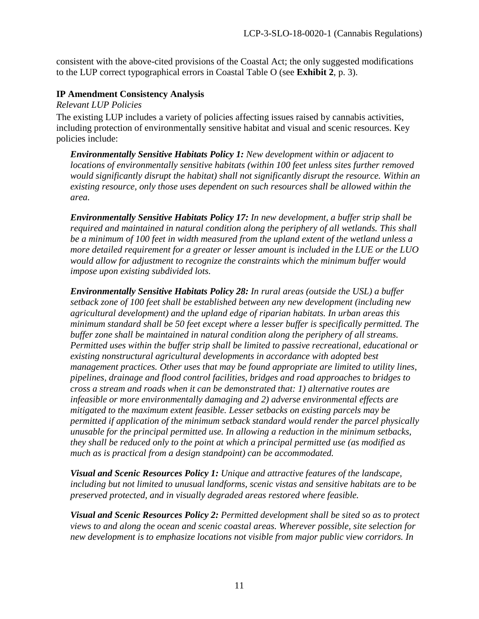consistent with the above-cited provisions of the Coastal Act; the only suggested modifications to the LUP correct typographical errors in Coastal Table O (see **Exhibit 2**, p. 3).

#### **IP Amendment Consistency Analysis**

*Relevant LUP Policies*

The existing LUP includes a variety of policies affecting issues raised by cannabis activities, including protection of environmentally sensitive habitat and visual and scenic resources. Key policies include:

*Environmentally Sensitive Habitats Policy 1: New development within or adjacent to locations of environmentally sensitive habitats (within 100 feet unless sites further removed would significantly disrupt the habitat) shall not significantly disrupt the resource. Within an existing resource, only those uses dependent on such resources shall be allowed within the area.*

*Environmentally Sensitive Habitats Policy 17: In new development, a buffer strip shall be required and maintained in natural condition along the periphery of all wetlands. This shall be a minimum of 100 feet in width measured from the upland extent of the wetland unless a more detailed requirement for a greater or lesser amount is included in the LUE or the LUO would allow for adjustment to recognize the constraints which the minimum buffer would impose upon existing subdivided lots.* 

*Environmentally Sensitive Habitats Policy 28: In rural areas (outside the USL) a buffer setback zone of 100 feet shall be established between any new development (including new agricultural development) and the upland edge of riparian habitats. In urban areas this minimum standard shall be 50 feet except where a lesser buffer is specifically permitted. The buffer zone shall be maintained in natural condition along the periphery of all streams. Permitted uses within the buffer strip shall be limited to passive recreational, educational or existing nonstructural agricultural developments in accordance with adopted best management practices. Other uses that may be found appropriate are limited to utility lines, pipelines, drainage and flood control facilities, bridges and road approaches to bridges to cross a stream and roads when it can be demonstrated that: 1) alternative routes are infeasible or more environmentally damaging and 2) adverse environmental effects are mitigated to the maximum extent feasible. Lesser setbacks on existing parcels may be permitted if application of the minimum setback standard would render the parcel physically unusable for the principal permitted use. In allowing a reduction in the minimum setbacks, they shall be reduced only to the point at which a principal permitted use (as modified as much as is practical from a design standpoint) can be accommodated.* 

*Visual and Scenic Resources Policy 1: Unique and attractive features of the landscape, including but not limited to unusual landforms, scenic vistas and sensitive habitats are to be preserved protected, and in visually degraded areas restored where feasible.* 

*Visual and Scenic Resources Policy 2: Permitted development shall be sited so as to protect views to and along the ocean and scenic coastal areas. Wherever possible, site selection for new development is to emphasize locations not visible from major public view corridors. In*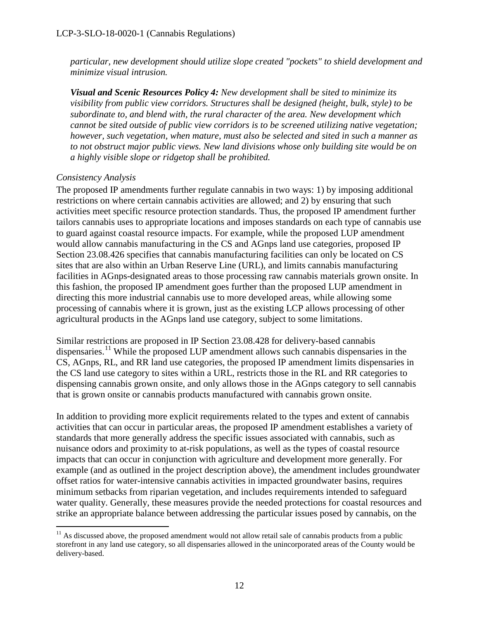*particular, new development should utilize slope created "pockets" to shield development and minimize visual intrusion.*

*Visual and Scenic Resources Policy 4: New development shall be sited to minimize its visibility from public view corridors. Structures shall be designed (height, bulk, style) to be subordinate to, and blend with, the rural character of the area. New development which cannot be sited outside of public view corridors is to be screened utilizing native vegetation; however, such vegetation, when mature, must also be selected and sited in such a manner as to not obstruct major public views. New land divisions whose only building site would be on a highly visible slope or ridgetop shall be prohibited.* 

#### *Consistency Analysis*

The proposed IP amendments further regulate cannabis in two ways: 1) by imposing additional restrictions on where certain cannabis activities are allowed; and 2) by ensuring that such activities meet specific resource protection standards. Thus, the proposed IP amendment further tailors cannabis uses to appropriate locations and imposes standards on each type of cannabis use to guard against coastal resource impacts. For example, while the proposed LUP amendment would allow cannabis manufacturing in the CS and AGnps land use categories, proposed IP Section 23.08.426 specifies that cannabis manufacturing facilities can only be located on CS sites that are also within an Urban Reserve Line (URL), and limits cannabis manufacturing facilities in AGnps-designated areas to those processing raw cannabis materials grown onsite. In this fashion, the proposed IP amendment goes further than the proposed LUP amendment in directing this more industrial cannabis use to more developed areas, while allowing some processing of cannabis where it is grown, just as the existing LCP allows processing of other agricultural products in the AGnps land use category, subject to some limitations.

Similar restrictions are proposed in IP Section 23.08.428 for delivery-based cannabis dispensaries.<sup>[11](#page-11-0)</sup> While the proposed LUP amendment allows such cannabis dispensaries in the CS, AGnps, RL, and RR land use categories, the proposed IP amendment limits dispensaries in the CS land use category to sites within a URL, restricts those in the RL and RR categories to dispensing cannabis grown onsite, and only allows those in the AGnps category to sell cannabis that is grown onsite or cannabis products manufactured with cannabis grown onsite.

In addition to providing more explicit requirements related to the types and extent of cannabis activities that can occur in particular areas, the proposed IP amendment establishes a variety of standards that more generally address the specific issues associated with cannabis, such as nuisance odors and proximity to at-risk populations, as well as the types of coastal resource impacts that can occur in conjunction with agriculture and development more generally. For example (and as outlined in the project description above), the amendment includes groundwater offset ratios for water-intensive cannabis activities in impacted groundwater basins, requires minimum setbacks from riparian vegetation, and includes requirements intended to safeguard water quality. Generally, these measures provide the needed protections for coastal resources and strike an appropriate balance between addressing the particular issues posed by cannabis, on the

<span id="page-11-0"></span> $\overline{a}$  $11$  As discussed above, the proposed amendment would not allow retail sale of cannabis products from a public storefront in any land use category, so all dispensaries allowed in the unincorporated areas of the County would be delivery-based.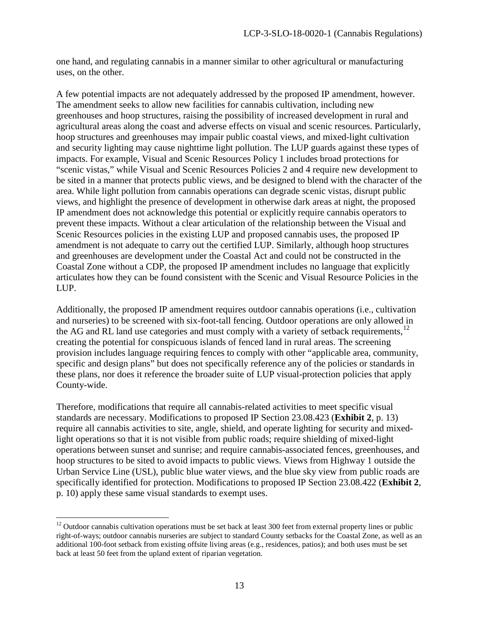one hand, and regulating cannabis in a manner similar to other agricultural or manufacturing uses, on the other.

A few potential impacts are not adequately addressed by the proposed IP amendment, however. The amendment seeks to allow new facilities for cannabis cultivation, including new greenhouses and hoop structures, raising the possibility of increased development in rural and agricultural areas along the coast and adverse effects on visual and scenic resources. Particularly, hoop structures and greenhouses may impair public coastal views, and mixed-light cultivation and security lighting may cause nighttime light pollution. The LUP guards against these types of impacts. For example, Visual and Scenic Resources Policy 1 includes broad protections for "scenic vistas," while Visual and Scenic Resources Policies 2 and 4 require new development to be sited in a manner that protects public views, and be designed to blend with the character of the area. While light pollution from cannabis operations can degrade scenic vistas, disrupt public views, and highlight the presence of development in otherwise dark areas at night, the proposed IP amendment does not acknowledge this potential or explicitly require cannabis operators to prevent these impacts. Without a clear articulation of the relationship between the Visual and Scenic Resources policies in the existing LUP and proposed cannabis uses, the proposed IP amendment is not adequate to carry out the certified LUP. Similarly, although hoop structures and greenhouses are development under the Coastal Act and could not be constructed in the Coastal Zone without a CDP, the proposed IP amendment includes no language that explicitly articulates how they can be found consistent with the Scenic and Visual Resource Policies in the LUP.

Additionally, the proposed IP amendment requires outdoor cannabis operations (i.e., cultivation and nurseries) to be screened with six-foot-tall fencing. Outdoor operations are only allowed in the AG and RL land use categories and must comply with a variety of setback requirements,  $^{12}$  $^{12}$  $^{12}$ creating the potential for conspicuous islands of fenced land in rural areas. The screening provision includes language requiring fences to comply with other "applicable area, community, specific and design plans" but does not specifically reference any of the policies or standards in these plans, nor does it reference the broader suite of LUP visual-protection policies that apply County-wide.

Therefore, modifications that require all cannabis-related activities to meet specific visual standards are necessary. Modifications to proposed IP Section 23.08.423 (**Exhibit 2**, p. 13) require all cannabis activities to site, angle, shield, and operate lighting for security and mixedlight operations so that it is not visible from public roads; require shielding of mixed-light operations between sunset and sunrise; and require cannabis-associated fences, greenhouses, and hoop structures to be sited to avoid impacts to public views. Views from Highway 1 outside the Urban Service Line (USL), public blue water views, and the blue sky view from public roads are specifically identified for protection. Modifications to proposed IP Section 23.08.422 (**Exhibit 2**, p. 10) apply these same visual standards to exempt uses.

 $\overline{a}$ 

<span id="page-12-0"></span><sup>&</sup>lt;sup>12</sup> Outdoor cannabis cultivation operations must be set back at least 300 feet from external property lines or public right-of-ways; outdoor cannabis nurseries are subject to standard County setbacks for the Coastal Zone, as well as an additional 100-foot setback from existing offsite living areas (e.g., residences, patios); and both uses must be set back at least 50 feet from the upland extent of riparian vegetation.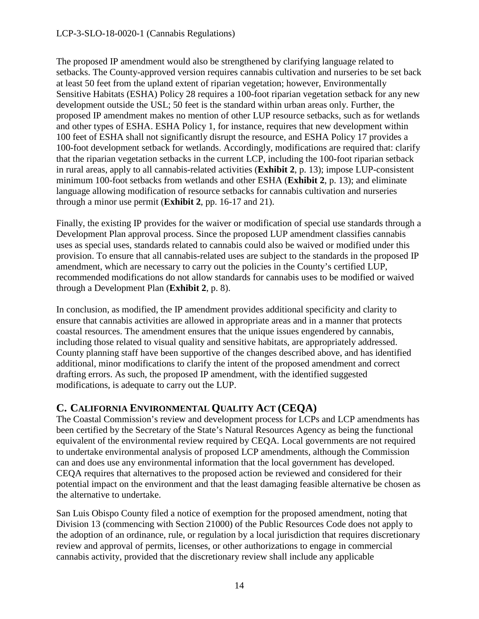#### LCP-3-SLO-18-0020-1 (Cannabis Regulations)

The proposed IP amendment would also be strengthened by clarifying language related to setbacks. The County-approved version requires cannabis cultivation and nurseries to be set back at least 50 feet from the upland extent of riparian vegetation; however, Environmentally Sensitive Habitats (ESHA) Policy 28 requires a 100-foot riparian vegetation setback for any new development outside the USL; 50 feet is the standard within urban areas only. Further, the proposed IP amendment makes no mention of other LUP resource setbacks, such as for wetlands and other types of ESHA. ESHA Policy 1, for instance, requires that new development within 100 feet of ESHA shall not significantly disrupt the resource, and ESHA Policy 17 provides a 100-foot development setback for wetlands. Accordingly, modifications are required that: clarify that the riparian vegetation setbacks in the current LCP, including the 100-foot riparian setback in rural areas, apply to all cannabis-related activities (**Exhibit 2**, p. 13); impose LUP-consistent minimum 100-foot setbacks from wetlands and other ESHA (**Exhibit 2**, p. 13); and eliminate language allowing modification of resource setbacks for cannabis cultivation and nurseries through a minor use permit (**Exhibit 2**, pp. 16-17 and 21).

Finally, the existing IP provides for the waiver or modification of special use standards through a Development Plan approval process. Since the proposed LUP amendment classifies cannabis uses as special uses, standards related to cannabis could also be waived or modified under this provision. To ensure that all cannabis-related uses are subject to the standards in the proposed IP amendment, which are necessary to carry out the policies in the County's certified LUP, recommended modifications do not allow standards for cannabis uses to be modified or waived through a Development Plan (**Exhibit 2**, p. 8).

In conclusion, as modified, the IP amendment provides additional specificity and clarity to ensure that cannabis activities are allowed in appropriate areas and in a manner that protects coastal resources. The amendment ensures that the unique issues engendered by cannabis, including those related to visual quality and sensitive habitats, are appropriately addressed. County planning staff have been supportive of the changes described above, and has identified additional, minor modifications to clarify the intent of the proposed amendment and correct drafting errors. As such, the proposed IP amendment, with the identified suggested modifications, is adequate to carry out the LUP.

### <span id="page-13-0"></span>**C. CALIFORNIA ENVIRONMENTAL QUALITY ACT (CEQA)**

The Coastal Commission's review and development process for LCPs and LCP amendments has been certified by the Secretary of the State's Natural Resources Agency as being the functional equivalent of the environmental review required by CEQA. Local governments are not required to undertake environmental analysis of proposed LCP amendments, although the Commission can and does use any environmental information that the local government has developed. CEQA requires that alternatives to the proposed action be reviewed and considered for their potential impact on the environment and that the least damaging feasible alternative be chosen as the alternative to undertake.

San Luis Obispo County filed a notice of exemption for the proposed amendment, noting that Division 13 (commencing with Section 21000) of the Public Resources Code does not apply to the adoption of an ordinance, rule, or regulation by a local jurisdiction that requires discretionary review and approval of permits, licenses, or other authorizations to engage in commercial cannabis activity, provided that the discretionary review shall include any applicable